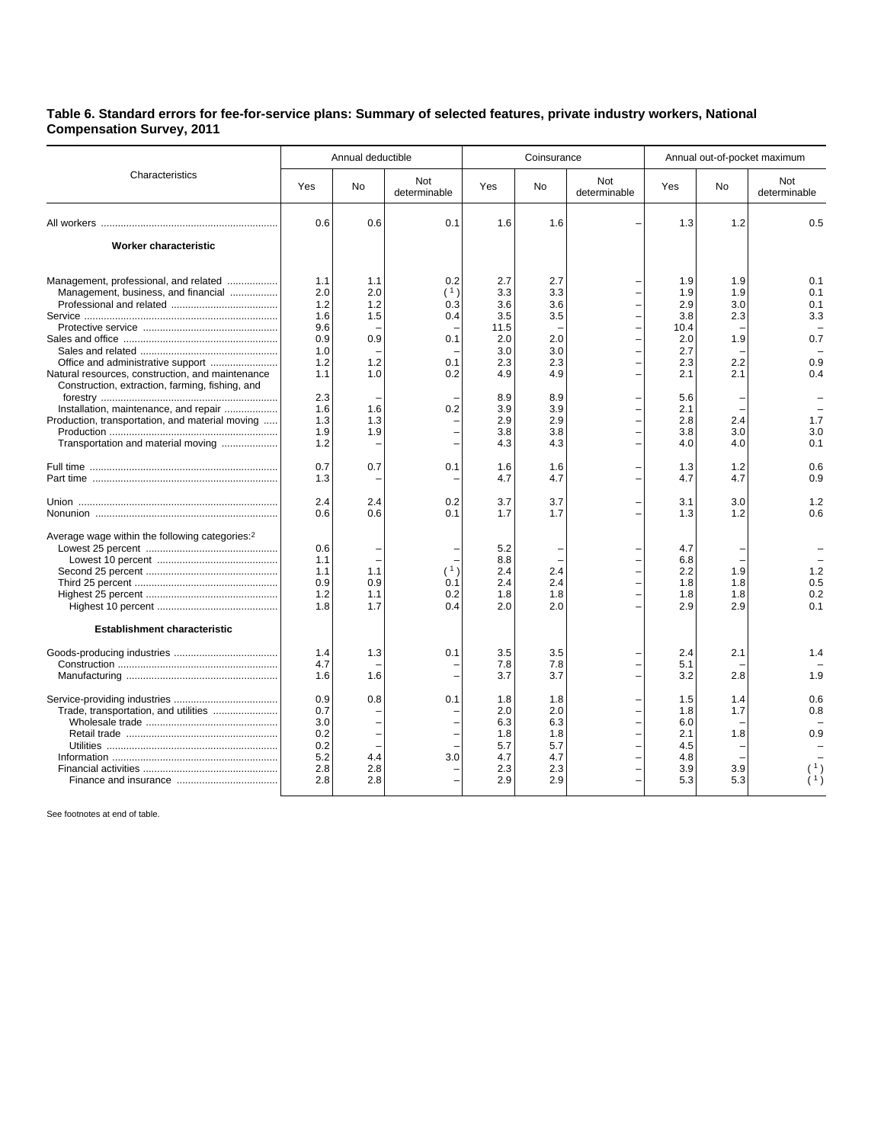## **Table 6. Standard errors for fee-for-service plans: Summary of selected features, private industry workers, National Compensation Survey, 2011**

| Characteristics                                                                                                                                                                                                                                                                                                       | Annual deductible                                                                              |                                                                    |                                                      |                                                                                                 | Coinsurance                                                                             |                     | Annual out-of-pocket maximum                                                                    |                                                                    |                                                                    |
|-----------------------------------------------------------------------------------------------------------------------------------------------------------------------------------------------------------------------------------------------------------------------------------------------------------------------|------------------------------------------------------------------------------------------------|--------------------------------------------------------------------|------------------------------------------------------|-------------------------------------------------------------------------------------------------|-----------------------------------------------------------------------------------------|---------------------|-------------------------------------------------------------------------------------------------|--------------------------------------------------------------------|--------------------------------------------------------------------|
|                                                                                                                                                                                                                                                                                                                       | Yes                                                                                            | <b>No</b>                                                          | Not<br>determinable                                  | Yes                                                                                             | <b>No</b>                                                                               | Not<br>determinable | Yes                                                                                             | No                                                                 | Not<br>determinable                                                |
|                                                                                                                                                                                                                                                                                                                       | 0.6                                                                                            | 0.6                                                                | 0.1                                                  | 1.6                                                                                             | 1.6                                                                                     |                     | 1.3                                                                                             | 1.2                                                                | 0.5                                                                |
| Worker characteristic                                                                                                                                                                                                                                                                                                 |                                                                                                |                                                                    |                                                      |                                                                                                 |                                                                                         |                     |                                                                                                 |                                                                    |                                                                    |
| Management, professional, and related<br>Management, business, and financial<br>Natural resources, construction, and maintenance<br>Construction, extraction, farming, fishing, and<br>Installation, maintenance, and repair<br>Production, transportation, and material moving<br>Transportation and material moving | 1.1<br>2.0<br>1.2<br>1.6<br>9.6<br>0.9<br>1.0<br>1.2<br>1.1<br>2.3<br>1.6<br>1.3<br>1.9<br>1.2 | 1.1<br>2.0<br>1.2<br>1.5<br>0.9<br>1.2<br>1.0<br>1.6<br>1.3<br>1.9 | 0.2<br>(1)<br>0.3<br>0.4<br>0.1<br>0.1<br>0.2<br>0.2 | 2.7<br>3.3<br>3.6<br>3.5<br>11.5<br>2.0<br>3.0<br>2.3<br>4.9<br>8.9<br>3.9<br>2.9<br>3.8<br>4.3 | 2.7<br>3.3<br>3.6<br>3.5<br>2.0<br>3.0<br>2.3<br>4.9<br>8.9<br>3.9<br>2.9<br>3.8<br>4.3 |                     | 1.9<br>1.9<br>2.9<br>3.8<br>10.4<br>2.0<br>2.7<br>2.3<br>2.1<br>5.6<br>2.1<br>2.8<br>3.8<br>4.0 | 1.9<br>1.9<br>3.0<br>2.3<br>1.9<br>2.2<br>2.1<br>2.4<br>3.0<br>4.0 | 0.1<br>0.1<br>0.1<br>3.3<br>0.7<br>0.9<br>0.4<br>1.7<br>3.0<br>0.1 |
|                                                                                                                                                                                                                                                                                                                       | 0.7<br>1.3                                                                                     | 0.7                                                                | 0.1                                                  | 1.6<br>4.7                                                                                      | 1.6<br>4.7                                                                              |                     | 1.3<br>4.7                                                                                      | 1.2<br>4.7                                                         | 0.6<br>0.9                                                         |
|                                                                                                                                                                                                                                                                                                                       | 2.4<br>0.6                                                                                     | 2.4<br>0.6                                                         | 0.2<br>0.1                                           | 3.7<br>1.7                                                                                      | 3.7<br>1.7                                                                              |                     | 3.1<br>1.3                                                                                      | 3.0<br>1.2                                                         | 1.2<br>0.6                                                         |
| Average wage within the following categories: <sup>2</sup><br><b>Establishment characteristic</b>                                                                                                                                                                                                                     | 0.6<br>1.1<br>1.1<br>0.9<br>1.2<br>1.8                                                         | 1.1<br>0.9<br>1.1<br>1.7                                           | 0.1<br>0.2<br>0.4                                    | 5.2<br>8.8<br>2.4<br>2.4<br>1.8<br>2.0                                                          | 2.4<br>2.4<br>1.8<br>2.0                                                                |                     | 4.7<br>6.8<br>2.2<br>1.8<br>1.8<br>2.9                                                          | 1.9<br>1.8<br>1.8<br>2.9                                           | 1.2<br>0.5<br>0.2<br>0.1                                           |
|                                                                                                                                                                                                                                                                                                                       | 1.4<br>4.7<br>1.6                                                                              | 1.3<br>1.6                                                         | 0.1                                                  | 3.5<br>7.8<br>3.7                                                                               | 3.5<br>7.8<br>3.7                                                                       |                     | 2.4<br>5.1<br>3.2                                                                               | 2.1<br>2.8                                                         | 1.4<br>1.9                                                         |
| Trade, transportation, and utilities                                                                                                                                                                                                                                                                                  | 0.9<br>0.7<br>3.0<br>0.2<br>0.2<br>5.2<br>2.8<br>2.8                                           | 0.8<br>4.4<br>2.8<br>2.8                                           | 0.1<br>3.0                                           | 1.8<br>2.0<br>6.3<br>1.8<br>5.7<br>4.7<br>2.3<br>2.9                                            | 1.8<br>2.0<br>6.3<br>1.8<br>5.7<br>4.7<br>2.3<br>2.9                                    |                     | 1.5<br>1.8<br>6.0<br>2.1<br>4.5<br>4.8<br>3.9<br>5.3                                            | 1.4<br>1.7<br>1.8<br>3.9<br>5.3                                    | 0.6<br>0.8<br>0.9                                                  |

See footnotes at end of table.